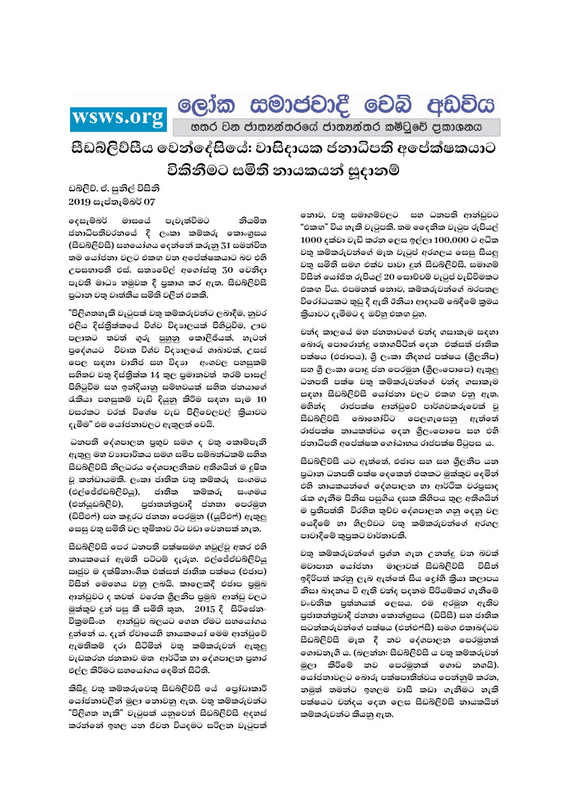ලෝක සමාජවාදී වෙබි අඩවිය wsws.org

හතර වන ජාතනන්තරයේ ජාතනන්තර කමිටුවේ පුකාශනය

සීඩබ්ලිව්සීය වෙන්දේසියේ: වාසිදායක ජනාධිපති අපේක්ෂකයාට විකිනීමට සමිති නායකයන් සුදානම්

ඩබ්ලිව්. ඒ. සුනිල් විසිනි  $2019$  සැප්තැම්බර් 07

දෙසැම්බර් මාසයේ පැවැත්වීමට නියමිත ජනාධිපතිවරනයේ දී ලංකා කම්කරු කොංගුසය (සීඩබ්ලිව්සී) සහයෝගය දෙන්නේ කරුනු 31 සමන්විත තම යෝජනා වලට එකඟ වන අපේක්ෂකයාට බව එහි උපසභාපති එස්. සතාවේල් අගෝස්තු 30 වෙනිදා පැවති මාධා හමුවක දී පුකාශ කර ඇත. සීඩබ්ලිව්සී පුධාන වතු වෘත්තීය සමිති වලින් එකකි.

"පිලිගතහැකි වැටුපක් වතු කම්කරුවන්ට ලබාදීම, නුවර එලිය දිස්තිුක්කයේ විශ්ව විදාහලයක් පිහිටුවීම, ඌව පලාතට තවත් ගුරු පුහුනු කොලීජියක්, හැටන් පුදේශයට විවෘත විශ්ව විදහාලයේ ශාඛාවක්, උසස් පෙල සඳහා වානිජ සහ විදාහ අංශවල පහසුකම් සහිතව වතු දිස්තිුක්ක 14 තුල පුමානවත් තරම් පාසල් පිහිටුවීම සහ ඉන්දියානු සම්භවයක් සහිත ජනයාගේ රැකියා පහසුකම් වැඩි දියුනු කිරීම සඳහා සෑම 10 වසරකට වරක් විශේෂ වැඩ පිලිවෙලවල් කියාවට දැමීම" එම යෝජනාවලට ඇතුලත් වෙයි.

ධනපති දේශපාලන පුභුව සමග ද වතු කොම්පැනි ඇතුලු මහ වාාපාරිකය සමග සමීප සම්බන්ධකම් සහිත සීඩබ්ලිව්සී නිලධරය දේශපාලනිකව අතිශයින් ම දුෂිත වූ කන්ඩායමකි. ලංකා ජාතික වතු කම්කරු සංගමය (එල්ජේඒඩබ්ලිව්යූ), ජාතික කම්කරු සංගමය (එන්යුඩබ්ලිව්), පුජාතන්තුවාදී ජනතා පෙරමුන (ඩිපීඑෆ්) සහ කඳුරට ජනතා පෙරමුන ((යූපීඑෆ්) ඇතුලු සෙසු වතු සමිති වල භූමිකාව ඊට වඩා වෙනසක් නැත.

සීඩබ්ලිව්සී පෙර ධනපති පක්ෂසමග හවුල්වූ අතර එහි නායකයෝ ඇමති පට්ටම් දැරුහ. එල්ජේඒඩබ්ලිව්යු ඍජුව ම දක්ෂිනාංශික එක්සත් ජාතික පක්ෂය (එජාප) විසින් මෙහෙය වනු ලබයි. කාලෙකදී එජාප පුමුඛ ආන්ඩුවට ද තවත් වරෙක ශුීලනිප පුමුඛ ආන්ඩු වලට මුක්කුව දුන් පසු කී සමිති තුන, 2015 දී සිරිසේන-විකුමසිංහ ආන්ඩුව බලයට ගෙන ඒමට සහයෝගය දුන්නේ ය. දැන් ඒවායෙහි නායකයෝ මෙම ආන්ඩුවේ ඇමතිකම් දරා සිටිමින් වතු කම්කරුවන් ඇතුල වැඩකරන ජනතාව මත ආර්ථික හා දේශපාලන පුහාර එල්ල කිරීමට සහයෝගය දෙමින් සිටිති.

කිසිදු වතු කම්කරුවෙකු සීඩබ්ලිව්සි යේ පෝඩාකාරී යෝජනාවලින් මුලා නොවනු ඇත. වතු කම්කරුවන්ට "පිලිගත හැකි" වැටුපක් යනුවෙන් සීඩබ්ලිව්සී අදහස් කරන්නේ ඉහල යන ජීවන වියදමට සරිලන වැටුපක්

නොව, වතු සමාගම්වලට සහ ධනපති ආන්ඩුවට "එකඟ" විය හැකි වැටුපකි. තම දෛනික වැටුප රුපියල් 1000 දක්වා වැඩි කරන ලෙස ඉල්ලා 100,000 ට අධික වතු කම්කරුවන්ගේ මෑත වැටුප් අරගලය සෙසු සියලු වතු සමිති සමග එක්ව පාවා දුන් සීඩබ්ලිව්සී, සමාගම් විසින් යෝජිත රුපියල් 20 සොච්චම් වැටුප් වැඩිවීමකට එකඟ විය. එපමනක් නොව, කම්කරුවන්ගේ බරපතල විරෝධයකට තුඩු දී ඇති ඊනියා ආදායම් බෙදීමේ කුමය තියාවට දැමීමට ද ඔව්හු එකඟ වුහ.

චන්ද කාලයේ මහ ජනතාවගේ චන්ද ගසාකෑම සඳහා බොරු පොරොන්දු තොගපිටින් දෙන එක්සත් ජාතික පක්ෂය (එජාපය), ශුී ලංකා නිදහස් පක්ෂය (ශුීලනිප) සහ ශී ලංකා පොදු ජන පෙරමුන (ශීලංපොපෙ) ඇතුලු ධනපති පක්ෂ වතු කම්කරුවන්ගේ චන්ද ගසාකෑම සඳහා සීඩබ්ලිව්සී යෝජනා වලට එකඟ වනු ඇත. මහින්ද රාජපක්ෂ ආන්ඩුවේ පාර්ශවකරුවෙක් වූ සීඩබ්ලිව්සී බොහෝවිට පෙලගැසෙනු ඇත්තේ රාජපක්ෂ නායකත්වය දෙන ශුීලංපොපෙ සහ එහි ජනාධිපති අපේක්ෂක ගෝඨාභය රාජපක්ෂ පිටුපස ය.

සීඩබ්ලිව්සී යට ඇත්තේ, එජාප සහ සහ ශීලනිප යන පුධාන ධනපති පක්ෂ දෙකෙන් එකකට මුක්කුව දෙමින් එහි නායකයන්ගේ දේශපාලන හා ආර්ථික වරපුසාද රැක ගැනීම පිනිස පසුගිය දසක කිහිපය තුල අතිශයින් ම පුතිපත්ති විරහිත තුච්ච දේශපාලන ගනු දෙනු වල යෙදීමේ හා හිලව්වට වතු කම්කරුවන්ගේ අරගල පාවාදීමේ කුපුකට වාර්තාවකි.

වතු කම්කරුවන්ගේ පුශ්න ගැන උනන්දු වන බවක් මවාපාන යෝජනා මාලාවක් සීඩබ්ලිව්සී විසින් ඉදිරිපත් කරනු ලැබ ඇත්තේ සිය දෝහී කිුයා කලාපය නිසා ඛාදනය වී ඇති චන්ද පදනම පිරියම්කර ගැනීමේ වංචනික පුත්නයක් ලෙසය. එම අරමුන ඇතිව පුජාතන්තුවාදී ජනතා කොන්ගුසය (ඩීපීසී) සහ ජාතික සටන්කරුවන්ගේ පක්ෂය (එන්එෆ්සී) සමග එකාබද්ධව සීඩබ්ලිව්සී මෑත දී නව දේශපාලන පෙරමුනක් ගොඩනැගී ය. (බලන්න: සීඩබ්ලිව්සී ය වතු කම්කරුවන් මුලා කිරීමේ නව පෙරමුනක් ගොඩ නගයි). යෝජනාවලට බොරු පක්ෂපාතිත්වය පෙන්නුම් කරන, නමුත් තමන්ට ඉහලම වාසි කඩා ගැනීමට හැකි පක්ෂයට චන්දය දෙන ලෙස සීඩබ්ලිව්සී නායකයින් කම්කරුවන්ට කියනු ඇත.